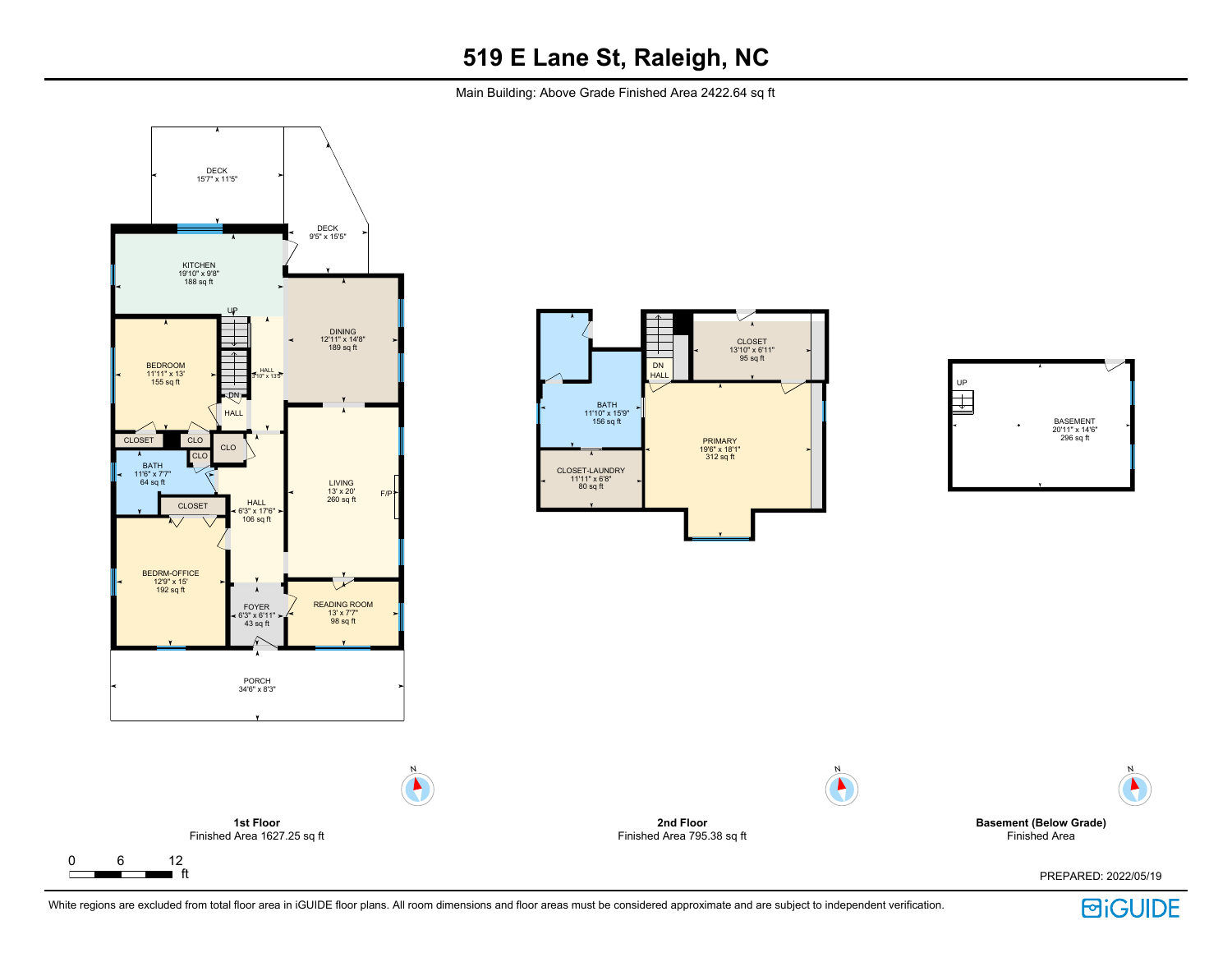Main Building: Above Grade Finished Area 2422.64 sq ft



 $\Gamma$ 

T



**2nd Floor** Finished Area 795.38 sq ft N





PREPARED: 2022/05/19





N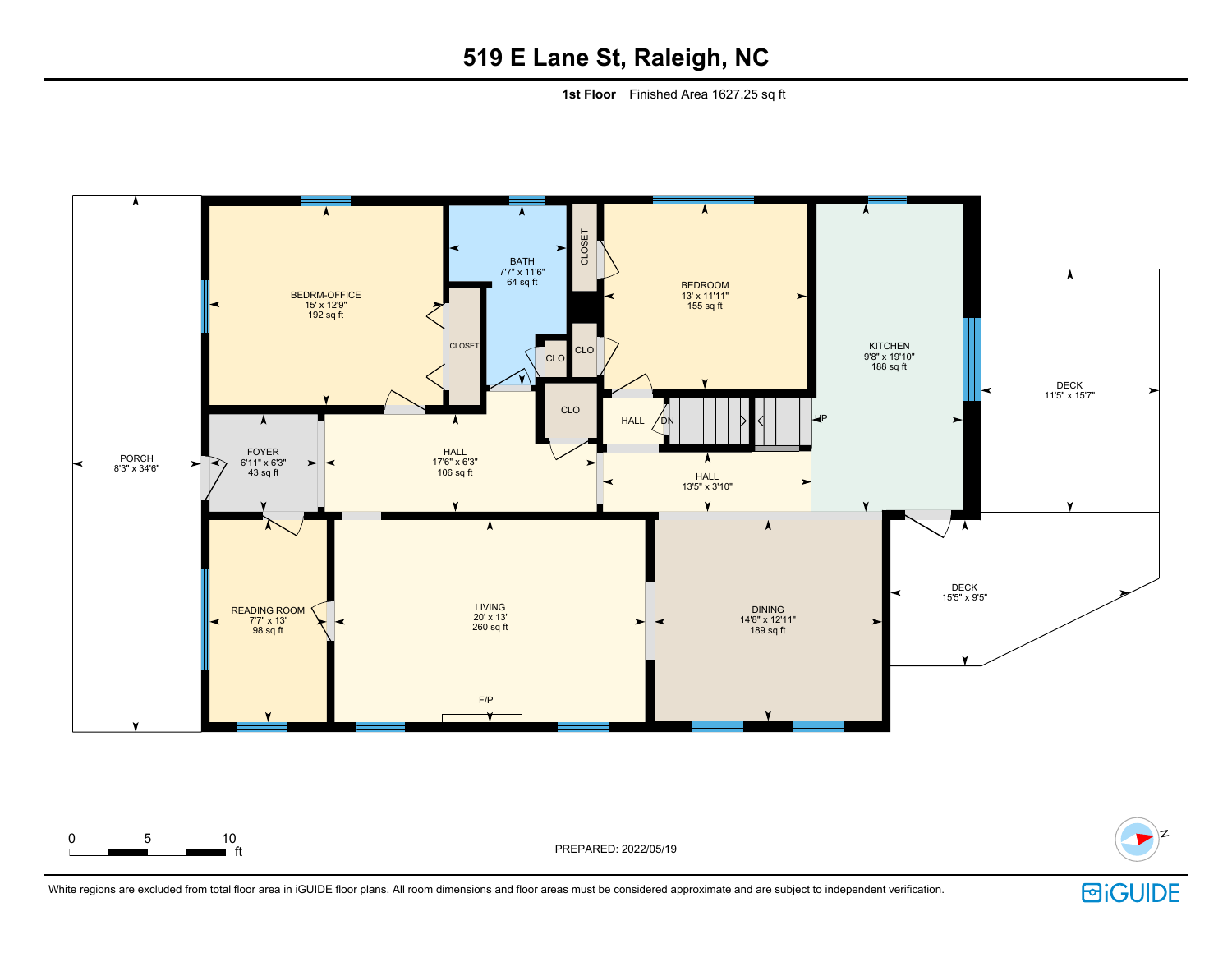# **519 E Lane St, Raleigh, NC**

**1st Floor** Finished Area 1627.25 sq ft





ft PREPARED: 2022/05/19

0 5 10

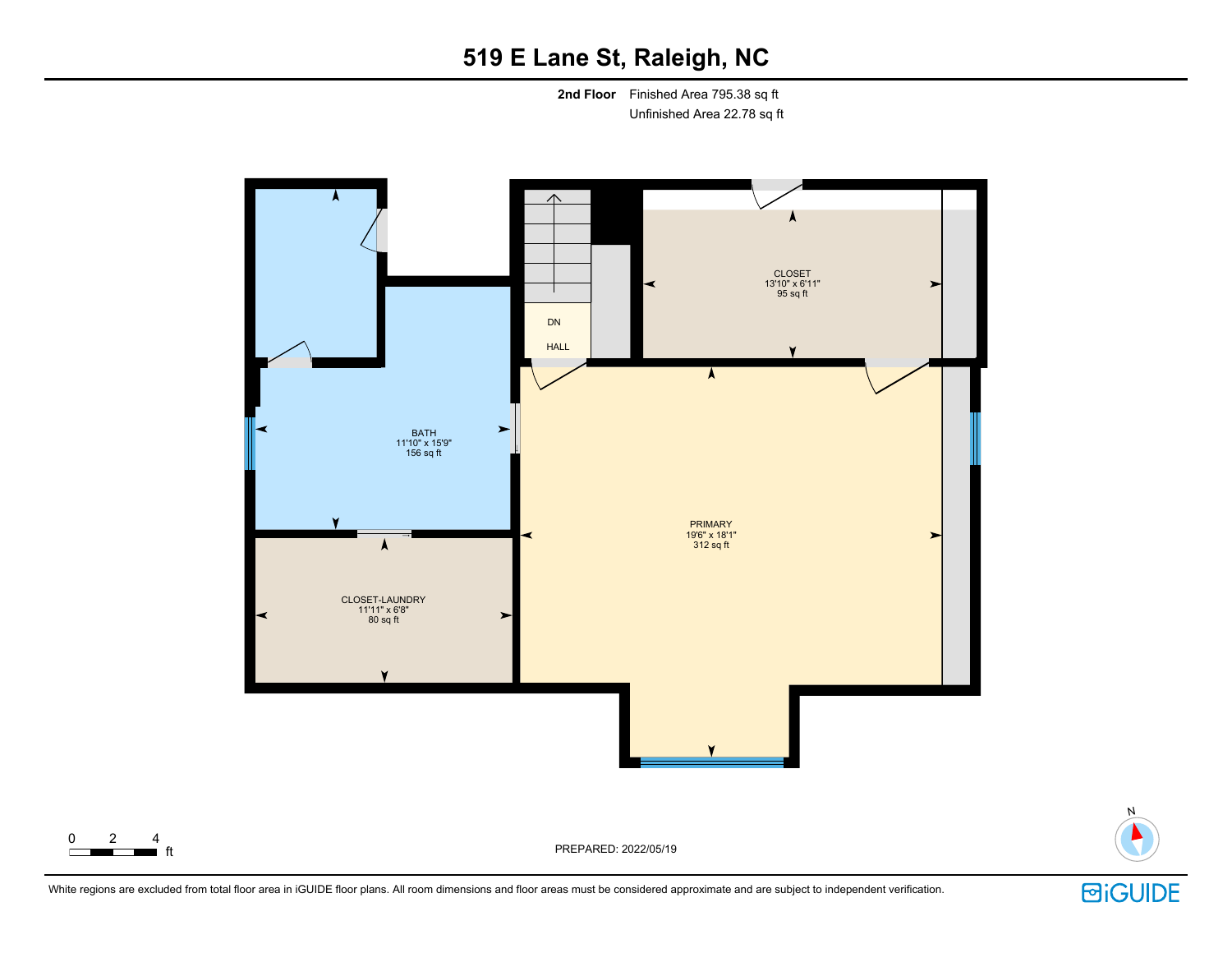# **519 E Lane St, Raleigh, NC**

**2nd Floor** Finished Area 795.38 sq ft Unfinished Area 22.78 sq ft





PREPARED: 2022/05/19

 $\begin{array}{cccc}\n0 & 2 & 4 \\
\hline\n\end{array}$  ft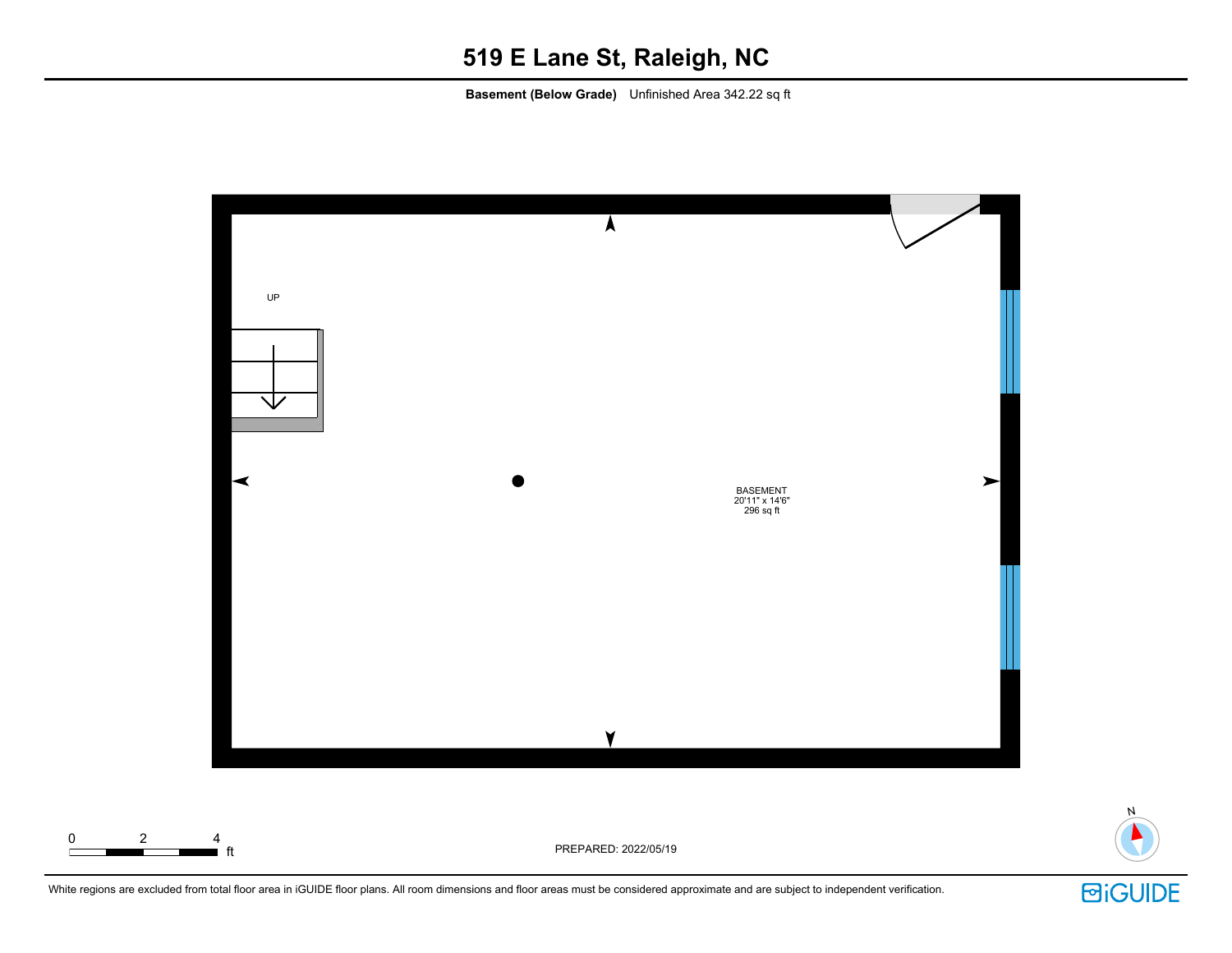### **519 E Lane St, Raleigh, NC**

**Basement (Below Grade)** Unfinished Area 342.22 sq ft



White regions are excluded from total floor area in iGUIDE floor plans. All room dimensions and floor areas must be considered approximate and are subject to independent verification.



N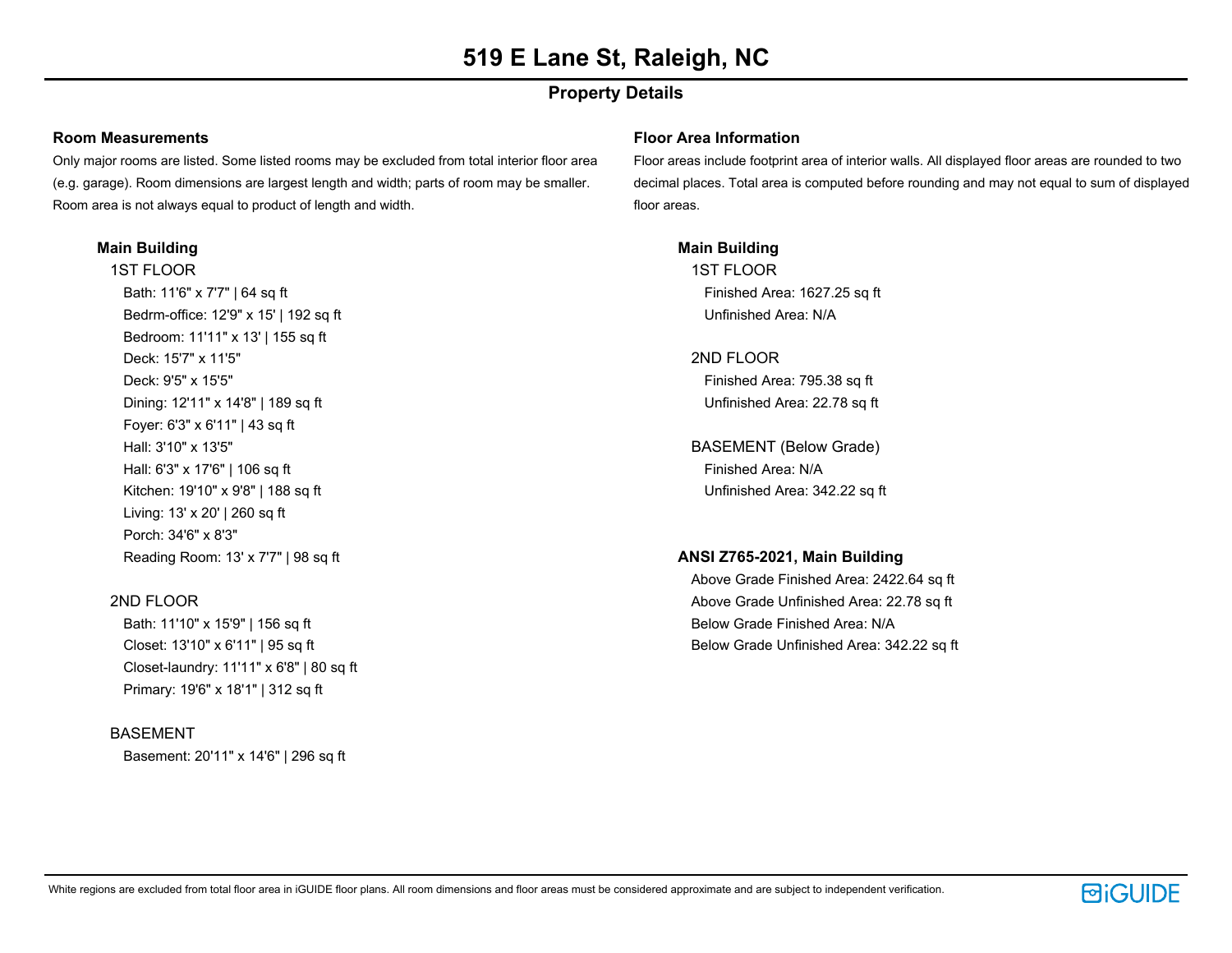### **Property Details**

#### **Room Measurements**

Only major rooms are listed. Some listed rooms may be excluded from total interior floor area (e.g. garage). Room dimensions are largest length and width; parts of room may be smaller. Room area is not always equal to product of length and width.

#### **Main Building**

1ST FLOOR Bath: 11'6" x 7'7" | 64 sq ft Bedrm-office: 12'9" x 15' | 192 sq ft Bedroom: 11'11" x 13' | 155 sq ft Deck: 15'7" x 11'5" Deck: 9'5" x 15'5" Dining: 12'11" x 14'8" | 189 sq ft Foyer: 6'3" x 6'11" | 43 sq ft Hall: 3'10" x 13'5" Hall: 6'3" x 17'6" | 106 sq ft Kitchen: 19'10" x 9'8" | 188 sq ft Living: 13' x 20' | 260 sq ft Porch: 34'6" x 8'3" Reading Room: 13' x 7'7" | 98 sq ft

#### 2ND FLOOR

Bath: 11'10" x 15'9" | 156 sq ft Closet: 13'10" x 6'11" | 95 sq ft Closet-laundry: 11'11" x 6'8" | 80 sq ft Primary: 19'6" x 18'1" | 312 sq ft

#### BASEMENT

Basement: 20'11" x 14'6" | 296 sq ft

#### **Floor Area Information**

Floor areas include footprint area of interior walls. All displayed floor areas are rounded to two decimal places. Total area is computed before rounding and may not equal to sum of displayed floor areas.

**Main Building** 1ST FLOOR Finished Area: 1627.25 sq ft Unfinished Area: N/A

2ND FLOOR Finished Area: 795.38 sq ft Unfinished Area: 22.78 sq ft

BASEMENT (Below Grade) Finished Area: N/A Unfinished Area: 342.22 sq ft

#### **ANSI Z765-2021, Main Building**

Above Grade Finished Area: 2422.64 sq ft Above Grade Unfinished Area: 22.78 sq ft Below Grade Finished Area: N/A Below Grade Unfinished Area: 342.22 sq ft